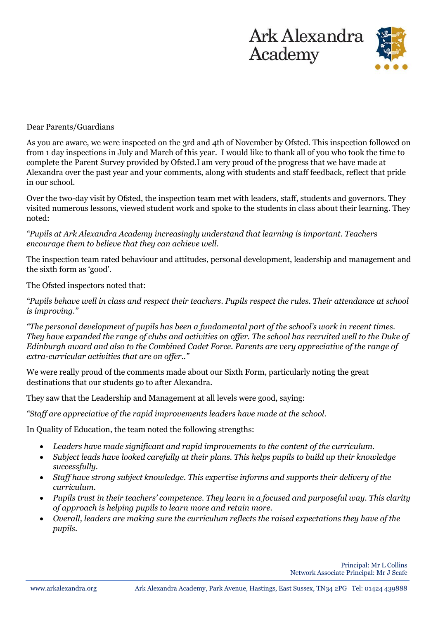



## Dear Parents/Guardians

As you are aware, we were inspected on the 3rd and 4th of November by Ofsted. This inspection followed on from 1 day inspections in July and March of this year. I would like to thank all of you who took the time to complete the Parent Survey provided by Ofsted.I am very proud of the progress that we have made at Alexandra over the past year and your comments, along with students and staff feedback, reflect that pride in our school.

Over the two-day visit by Ofsted, the inspection team met with leaders, staff, students and governors. They visited numerous lessons, viewed student work and spoke to the students in class about their learning. They noted:

*"Pupils at Ark Alexandra Academy increasingly understand that learning is important. Teachers encourage them to believe that they can achieve well.* 

The inspection team rated behaviour and attitudes, personal development, leadership and management and the sixth form as 'good'.

The Ofsted inspectors noted that:

*"Pupils behave well in class and respect their teachers. Pupils respect the rules. Their attendance at school is improving."*

*"The personal development of pupils has been a fundamental part of the school's work in recent times. They have expanded the range of clubs and activities on offer. The school has recruited well to the Duke of Edinburgh award and also to the Combined Cadet Force. Parents are very appreciative of the range of extra-curricular activities that are on offer.."*

We were really proud of the comments made about our Sixth Form, particularly noting the great destinations that our students go to after Alexandra.

They saw that the Leadership and Management at all levels were good, saying:

*"Staff are appreciative of the rapid improvements leaders have made at the school.* 

In Quality of Education, the team noted the following strengths:

- *Leaders have made significant and rapid improvements to the content of the curriculum.*
- *Subject leads have looked carefully at their plans. This helps pupils to build up their knowledge successfully.*
- *Staff have strong subject knowledge. This expertise informs and supports their delivery of the curriculum.*
- *Pupils trust in their teachers' competence. They learn in a focused and purposeful way. This clarity of approach is helping pupils to learn more and retain more.*
- *Overall, leaders are making sure the curriculum reflects the raised expectations they have of the pupils.*